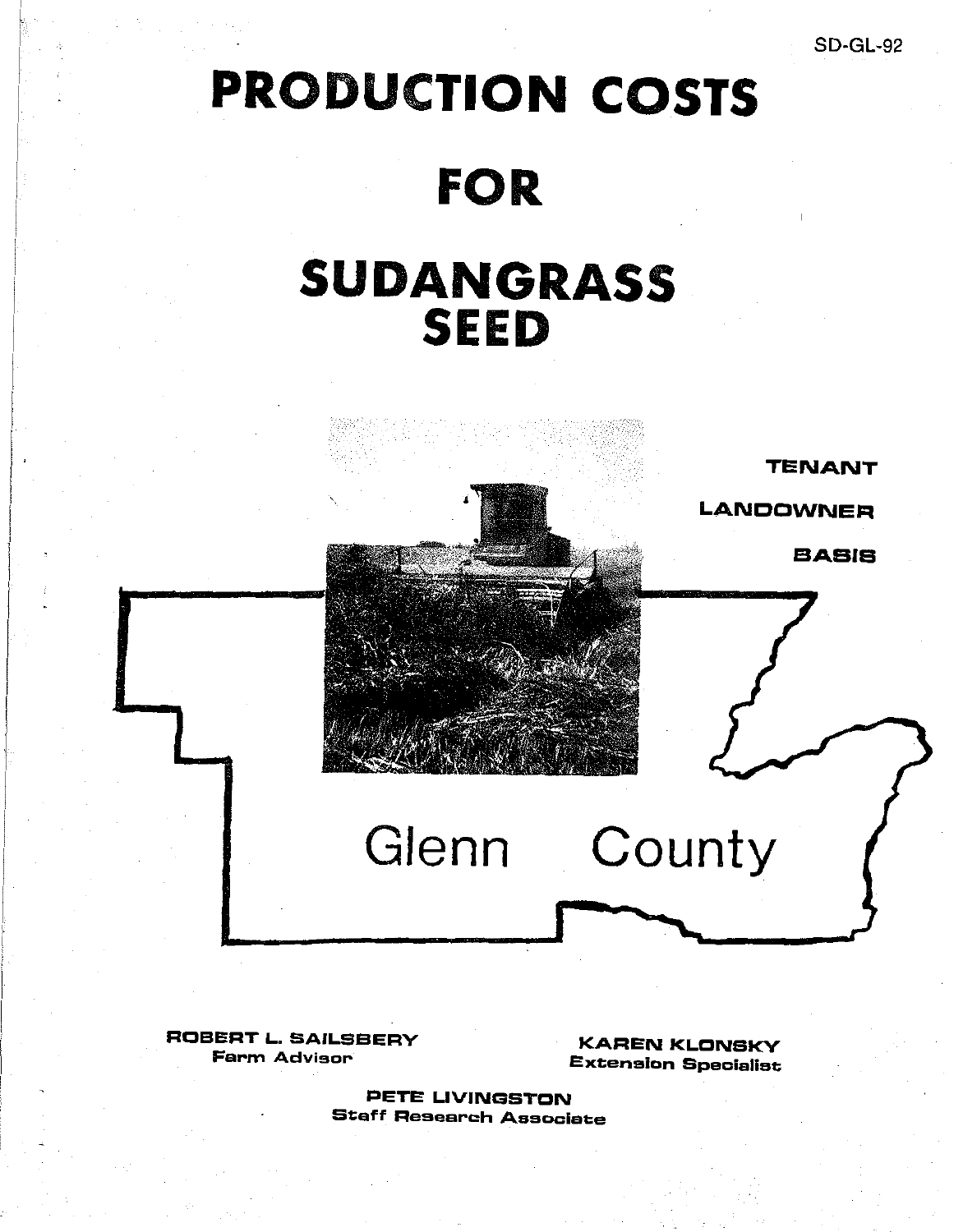# PRODUCTION **COSTS**

### FOR

## SUDANGRASS **SEED**

TENANT

LANDOWNER

BASIS

ROBERT L. SAILSBERV Farm Advisor

KAREN KLONSKV Extension Specialist

**County** 

PETE LIVINGSTON Staff Research Associate

**Glenn**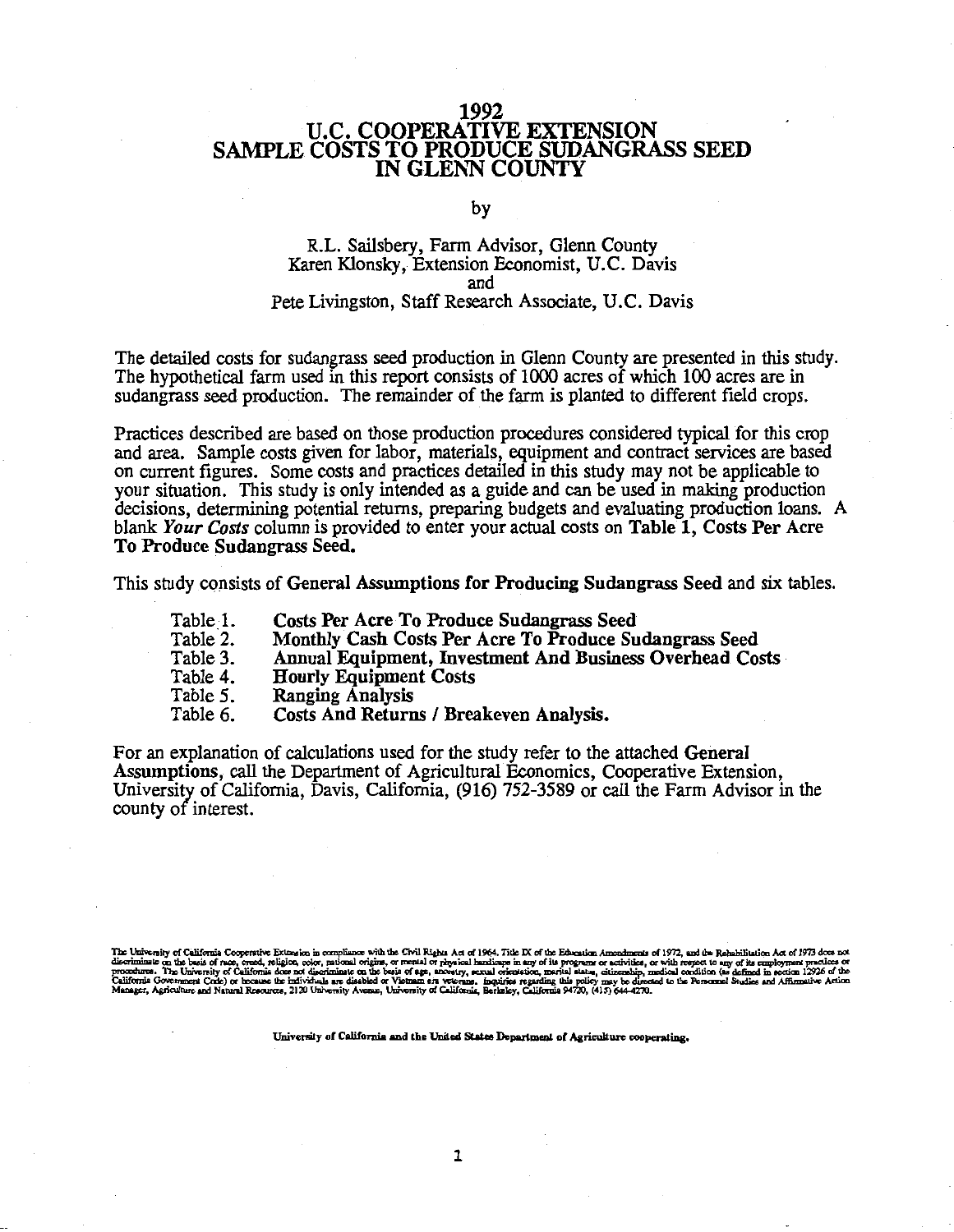#### 1992 U.C. COOPERATIVE EXTENSION SAMPLE COSTS TO PRODUCE SUDANGRASS SEED IN GLENN COUNTY

by

#### R.L. Sailsbery, Farm Advisor, Glenn County Karen Klonsky, Extension Economist, U.C. Davis and Pete Livingston, Staff Research Associate, U.C. Davis

The detailed costs for sudangrass seed production in Glenn County are presented in this study. The hypothetical farm used in this report consists of 1000 acres of which 100 acres are in sudangrass seed production. The remainder of the farm is planted to different field crops.

Practices described are based on those production procedures considered typical for this crop and area. Sample costs given for labor, materials, equipment and contract services are based on current figures. Some costs and practices detailed in this study may not be applicable to your situation. This study is only intended as a guide and can be used in making production decisions, determining potential returns, preparing budgets and evaluating production loans. A blank *Your Costs* column is provided to enter your actual costs on Table 1, Costs Per Acre To Produce Sudangrass Seed.

This study consists of General Assumptions for Producing Sudangrass Seed and six tables.

- Table 1. Costs Per Acre To Produce Sudangrass Seed
- Table 2. Monthly Cash Costs Per Acre To Produce Sudangrass Seed
- Table 3. Annual Equipment, Investment And Business Overhead Costs
- Table 4. Hourly Equipment Costs
- Table 5. Ranging Analysis
- Table 6. Costs And Returns / Breakeven Analysis.

For an explanation of calculations used for the study refer to the attached General Assumptions, call the Department of Agricultural Economics, Cooperative Extension, University of California, Davis, California, (916) 752-3589 or call the Farm Advisor in the county of interest.

sity of California Cooperative Extension in compliance with the Civil Rights Act of 1964. Title IX of the Education Amendments of 1 on the basis of race, creed, religion, color, rational origins, or mental or physical hand zais of 1972, and the Rehabilitation Act of 1973 do ith respect to any of its a<br>cal condition (as defined

University **of Calif'onrla and** the United **Statee Department of Agriculture cooperating.**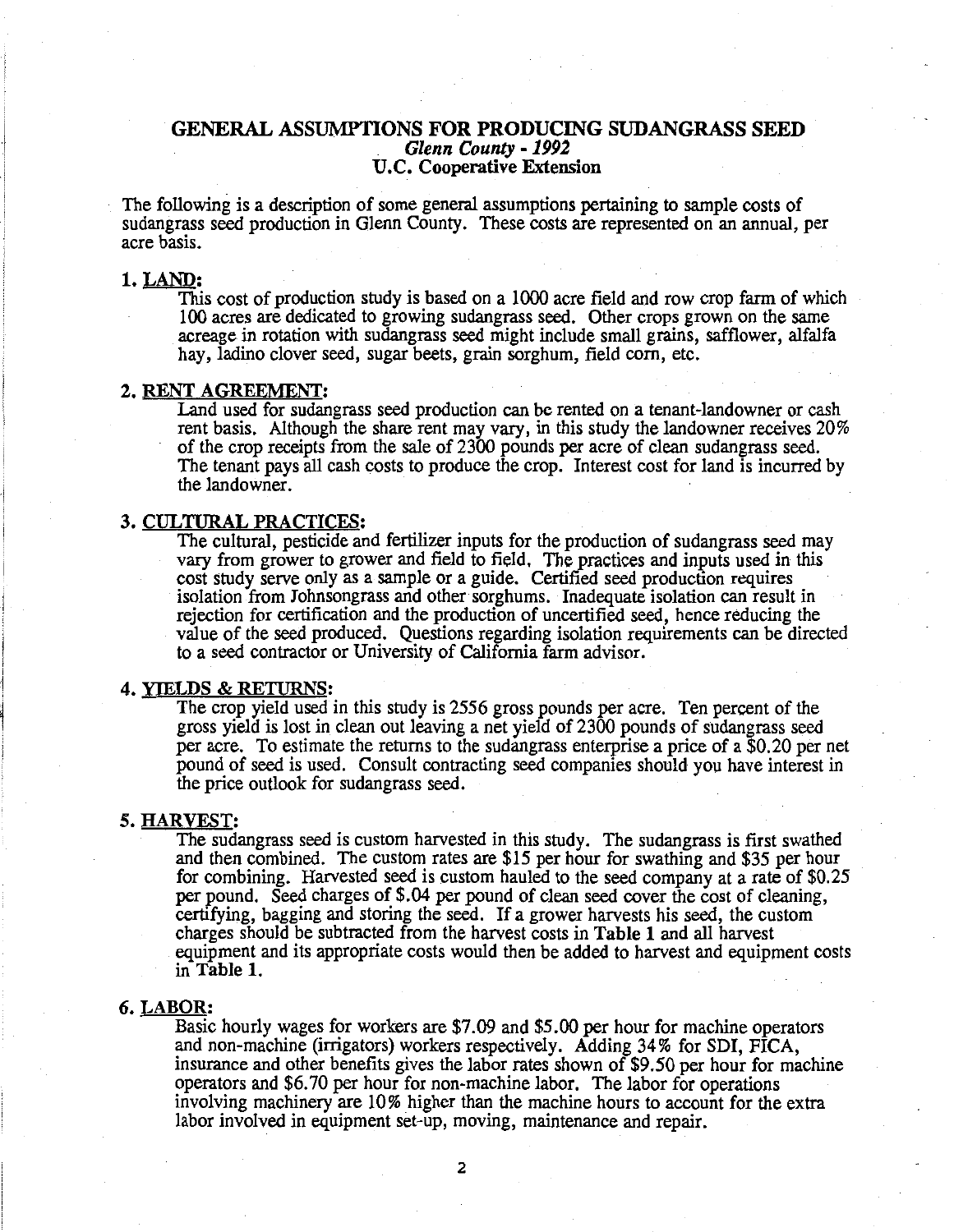#### GENERAL ASSUMPTIONS FOR PRODUCING SUDANGRASS SEED *Glenn County* - *1992*  U.C. Cooperative Extension

The following is a description of some general assumptions pertaining to sample costs of sudangrass seed production in Glenn County. These costs are represented on an annual, per acre basis.

#### 1. LAND:

This cost of production study is based on a 1000 acre field and row crop farm of which 100 acres are dedicated to growing sudangrass seed. Other crops grown on the same acreage in rotation with sudangrass seed might include small grains, safflower, alfalfa hay, ladino clover seed, sugar beets, grain sorghum, field corn, etc.

#### 2. RENT AGREEMENT:

Land used for sudangrass seed production can be rented on a tenant-landowner or cash rent basis. Although the share rent may vary, in this study the landowner receives 20% of the crop receipts from the sale of 2300 pounds per acre of clean sudangrass seed. The tenant pays all cash costs to produce the crop. Interest cost for land is incurred by the landowner.

#### 3. CULTURAL PRACTICES:

The cultural, pesticide and fertilizer inputs for the production of sudangrass seed may vary from grower to grower and field to field, The practices and inputs used in this cost study serve only as a sample or a guide. Certified seed production requires isolation from Johnsongrass and other sorghums. Inadequate isolation can result in rejection for certification and the production of uncertified seed, hence reducing the value of the seed produced. Questions regarding isolation requirements can be directed to a seed contractor or University of California farm advisor.

#### 4. YIELDS & RETURNS:

The crop yield used in this study is 2556 gross pounds per acre. Ten percent of the gross yield is lost in clean out leaving a net yield of 2300 pounds of sudangrass seed per acre. To estimate the returns to the sudangrass enterprise a price of a \$0.20 per net pound of seed is used. Consult contracting seed companies should you have interest in the price outlook for sudangrass seed.

#### *5.* HARVEST:

The sudangrass seed is custom harvested in this study. The sudangrass is first swathed and then combined. The custom rates are \$15 per hour for swathing and \$35 per hour for combining. Harvested seed is custom hauled to the seed company at a rate of \$0.25 per pound. Seed charges of \$.04 per pound of clean seed cover the cost of cleaning, certifying, bagging and storing the seed. If a grower harvests his seed, the custom charges should be subtracted from the harvest costs in Table 1 and all harvest equipment and its appropriate costs would then be added to harvest and equipment costs in Table 1.

#### 6. LABOR:

Basic hourly wages for workers are \$7.09 and \$5.00 per hour for machine operators and non-machine (irrigators) workers respectively. Adding 34% for SDI, FICA, insurance and other benefits gives the labor rates shown of \$9 *.50* per hour for machine operators and \$6. 70 per hour for non-machine labor. The labor for operations involving machinery are 10% higher than the machine hours to account for the extra labor involved in equipment set-up, moving, maintenance and repair.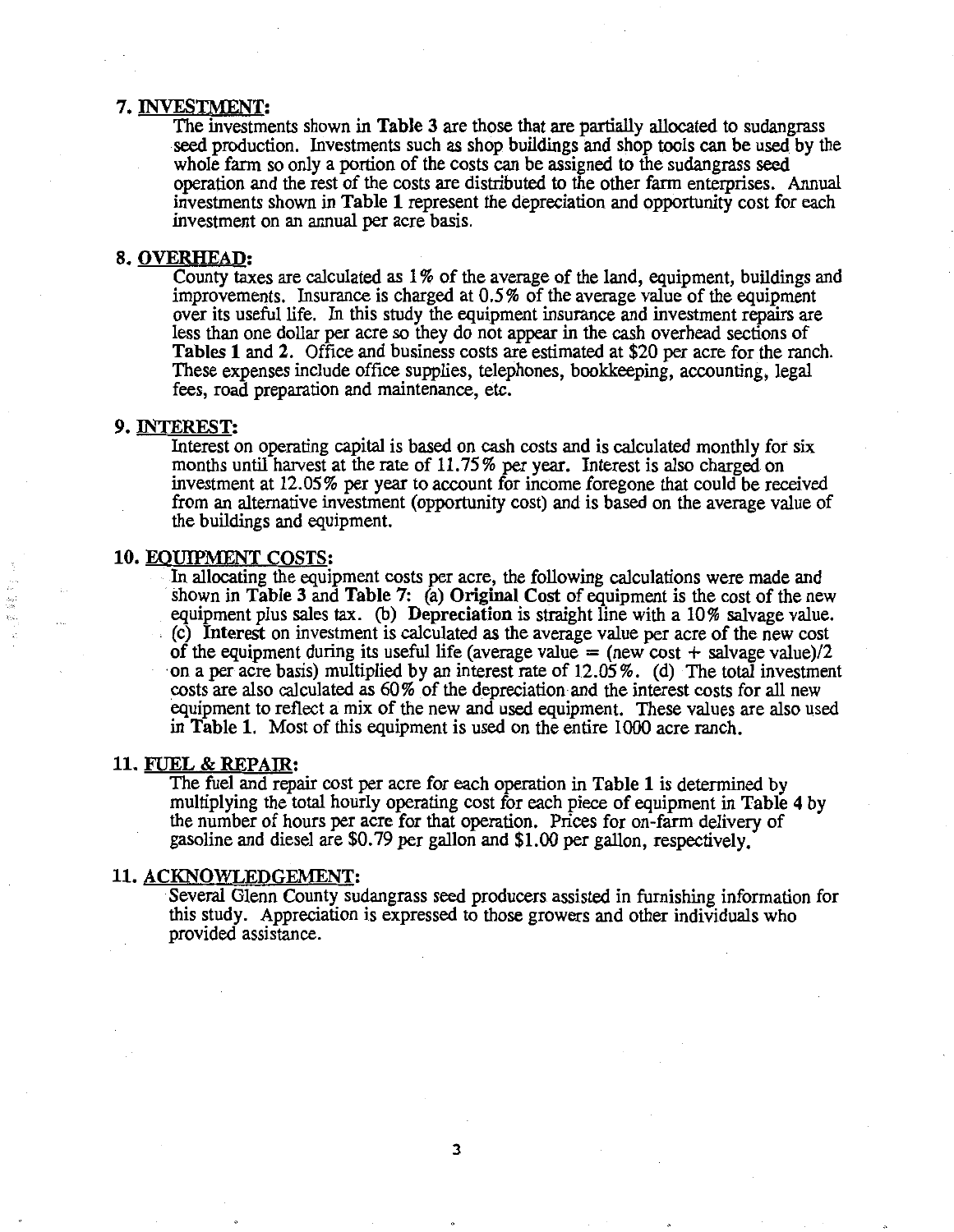#### 7. INVESTMENT:

The investments shown in Table 3 are those that are partially allocated to sudangrass seed production. Investments such as shop buildings and shop tools can be used by the whole farm so only a portion of the costs can be assigned to the sudangrass seed operation and the rest of the costs are distributed to the other farm enterprises. Annual investments shown in Table 1 represent the depreciation and opportunity cost for each investment on an annual per acre basis.

#### 8. OVERHEAD:

County taxes are calculated as 1 % of the average of the land, equipment, buildings and improvements. Insurance is charged at *0.5* % of the average value of the equipment over its useful life. In this study the equipment insurance and investment repairs are less than one dollar per acre so they do not appear in the cash overhead sections of Tables 1 and 2. Office and business costs are estimated at \$20 per acre for the ranch. These expenses include office supplies, telephones, bookkeeping, accounting, legal fees, road preparation and maintenance, etc.

#### 9. INTEREST:

Interest on operating capital is based on cash costs and is calculated monthly for six months until harvest at the rate of 11. 75 % per year. Interest is also charged on investment at 12.05% per year to account for income foregone that could be received from an alternative investment (opportunity cost) and is based on the average value of the buildings and equipment.

#### 10. EOUIPMENT COSTS:

In allocating the equipment costs per acre, the following calculations were made and shown in Table 3 and Table 7: (a) Original Cost of equipment is the cost of the new equipment plus sales tax. (b) Depreciation is straight line with a  $10\%$  salvage value.  $\overline{c}$ . Interest on investment is calculated as the average value per acre of the new cost of the equipment during its useful life (average value  $=$  (new cost  $+$  salvage value)/2 on a per acre basis) multiplied by an interest rate of 12.05%. (d) The total investment costs are also calculated as 60 % of the depreciation and the interest costs for all new equipment to reflect a mix of the new and used equipment. These values are also used in Table 1. Most of this equipment is used on the entire 1000 acre ranch.

#### 11. FUEL & REPAJR:

The fuel and repair cost per acre for each operation in Table 1 is determined by multiplying the total hourly operating cost for each piece of equipment in Table 4 by the number of hours per acre for that operation. Prices for on-farm delivery of gasoline and diesel are \$0. 79 per gallon and \$1.00 per gallon, respectively.

#### 11. ACKNOWLEDGEMENT:

Several Glenn County sudangrass seed producers assisted in furnishing information for this study. Appreciation is expressed to those growers and other individuals who provided assistance.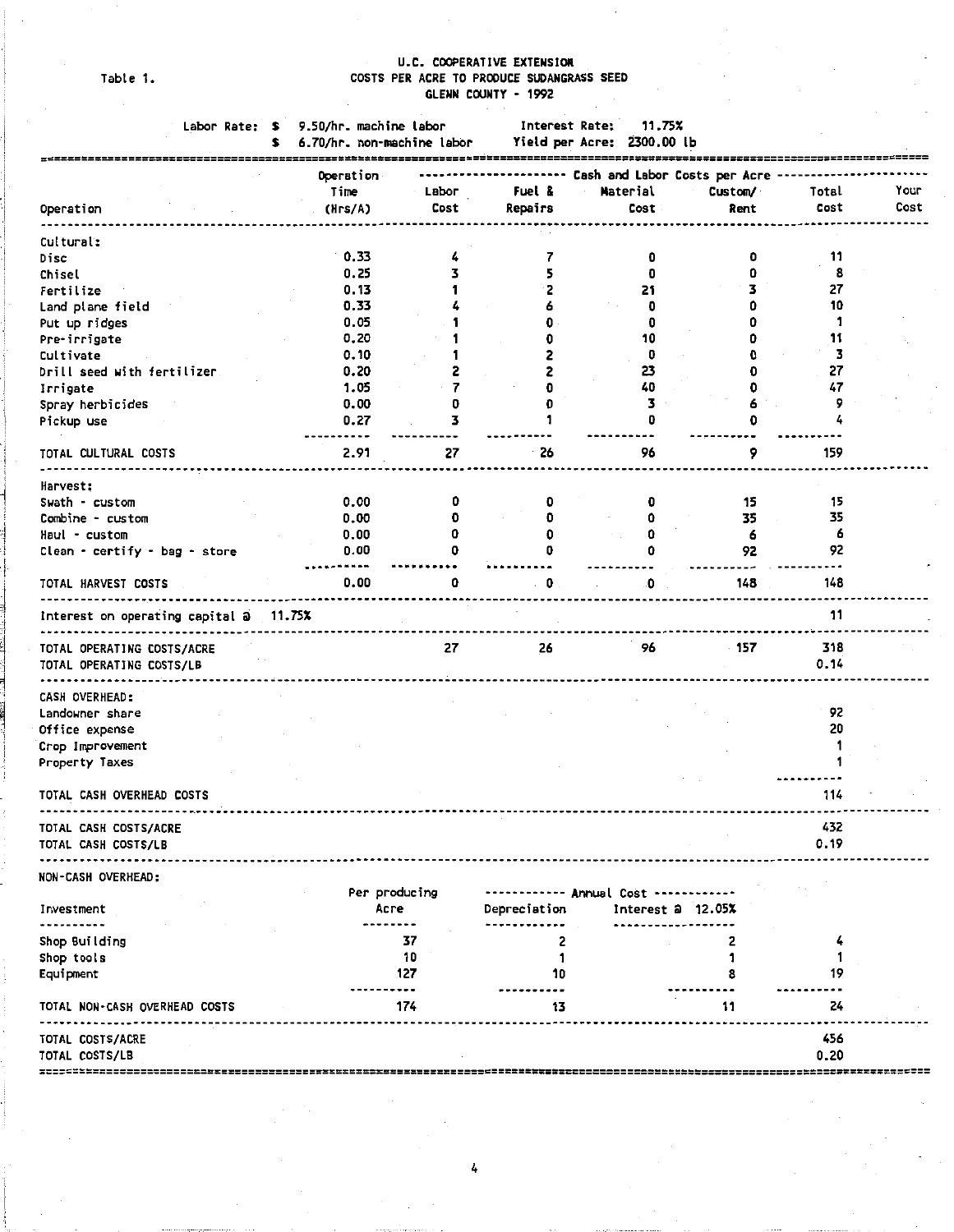Table 1.

### U.C. COOPERATIVE EXTENSION COSTS PER ACRE TO PRODUCE SUDANGRASS SEED GLENN COUNTY • 1992

|                                                        | Labor Rate: \$ | 9.50/hr. machine labor<br>6.70/hr. non-machine labor |       | Interest Rate: | 11.75%<br>Yield per Acre: 2300.00 lb |                                    |             |      |
|--------------------------------------------------------|----------------|------------------------------------------------------|-------|----------------|--------------------------------------|------------------------------------|-------------|------|
|                                                        |                | Operation                                            |       |                |                                      | ---- Cash and Labor Costs per Acre |             |      |
|                                                        |                | Time                                                 | Labor | Fuel &         | Material                             | Custom/                            | Total       | Your |
| Operation                                              |                | (Hrs/A)                                              | Cost  | Repairs        | Cost                                 | Rent                               | Cost        | Cost |
| Cultural:                                              |                |                                                      |       |                |                                      |                                    |             |      |
| Disc                                                   |                | 0.33                                                 |       |                | 0                                    | 0                                  | 11          |      |
| Chisel                                                 |                | 0.25                                                 | 3     |                |                                      | o                                  | 8           |      |
| Fertilize                                              |                | 0.13                                                 | 1     | 2              | 21                                   | 3                                  | 27          |      |
| Land plane field                                       |                | 0.33                                                 |       |                | 0                                    | û                                  | 10          |      |
| Put up ridges                                          |                | 0.05                                                 |       |                | 0                                    |                                    | 1           |      |
| Pre-irrigate                                           |                | 0.20                                                 |       |                | 10                                   |                                    | 11          |      |
| Cultivate                                              |                | 0.10                                                 |       |                | 0                                    |                                    | 3           |      |
| Drill seed with fertilizer.                            |                | 0.20                                                 |       |                | 23                                   |                                    | 27          |      |
| Irrigate                                               |                | 1.05                                                 | 7     |                | 40                                   | 0                                  | 47          |      |
| Spray herbicides                                       |                | 0.00                                                 | 0     |                | 3                                    | 6                                  | 9           |      |
| Pickup use                                             |                | 0.27                                                 | 3     |                | 0                                    | o                                  | 4           |      |
|                                                        |                |                                                      |       |                |                                      |                                    |             |      |
| TOTAL CULTURAL COSTS                                   |                | 2.91                                                 | 27    | 26             | 96                                   | 9                                  | 159         |      |
| Harvest:                                               |                |                                                      |       |                |                                      |                                    |             |      |
| Swath - custom                                         |                | 0.00                                                 | 0     |                |                                      | 15                                 | 15          |      |
| Combine - custom                                       |                | 0.00                                                 | 0     |                |                                      | 35                                 | 35          |      |
| Haul - custom                                          |                | 0.00                                                 | 0     |                |                                      | 6                                  | 6           |      |
| Clean • certify • bag • store                          |                | 0.00                                                 | 0     |                | 0                                    | 92                                 | 92          |      |
| TOTAL HARVEST COSTS                                    |                | 0.00                                                 | 0     | 0              | 0                                    | 148                                | 148         |      |
| interest on operating capital a 11.75%                 |                |                                                      |       |                |                                      |                                    | 11          |      |
| TOTAL OPERATING COSTS/ACRE<br>TOTAL OPERATING COSTS/LB |                |                                                      | 27    | 26             | 96                                   | 157                                | 318<br>0.14 |      |
|                                                        |                |                                                      |       |                |                                      |                                    |             |      |
| CASH OVERHEAD:                                         |                |                                                      |       |                |                                      |                                    |             |      |
| Landowner share                                        |                |                                                      |       |                |                                      |                                    | 92          |      |
| Office expense                                         |                |                                                      |       |                |                                      |                                    | 20          |      |
| Crop Improvement                                       |                |                                                      |       |                |                                      |                                    |             |      |
| Property Taxes                                         |                |                                                      |       |                |                                      |                                    |             |      |
| TOTAL CASH OVERHEAD COSTS                              |                |                                                      |       |                |                                      |                                    | 114         |      |
| TOTAL CASH COSTS/ACRE                                  |                |                                                      |       |                |                                      |                                    | 432         |      |
| TOTAL CASH COSTS/LB                                    |                |                                                      |       |                |                                      |                                    | 0.19        |      |
| NON-CASH OVERHEAD:                                     |                |                                                      |       |                |                                      |                                    |             |      |
|                                                        |                | Per producing                                        |       |                | Annual Cost                          |                                    |             |      |
| Investment                                             |                | Асге                                                 |       | Depreciation   |                                      | Interest $a$ 12.05%                |             |      |
| Shop Building                                          |                |                                                      | 37    | 2              |                                      | 2                                  | 4           |      |
| Shop tools                                             |                |                                                      | 10    | 1              |                                      | 1                                  | 1           |      |
| Equipment                                              |                |                                                      | 127   | 10             |                                      | 8                                  | 19          |      |
| TOTAL NON-CASH OVERHEAD COSTS                          |                |                                                      | 174   | 13             |                                      | 11                                 | 24          |      |
|                                                        |                |                                                      |       |                |                                      |                                    |             |      |
| TOTAL COSTS/ACRE                                       |                |                                                      |       |                |                                      |                                    | 456         |      |
| TOTAL COSTS/LB                                         |                |                                                      |       |                |                                      |                                    | 0.20        |      |
| x========================                              |                |                                                      |       |                |                                      |                                    |             |      |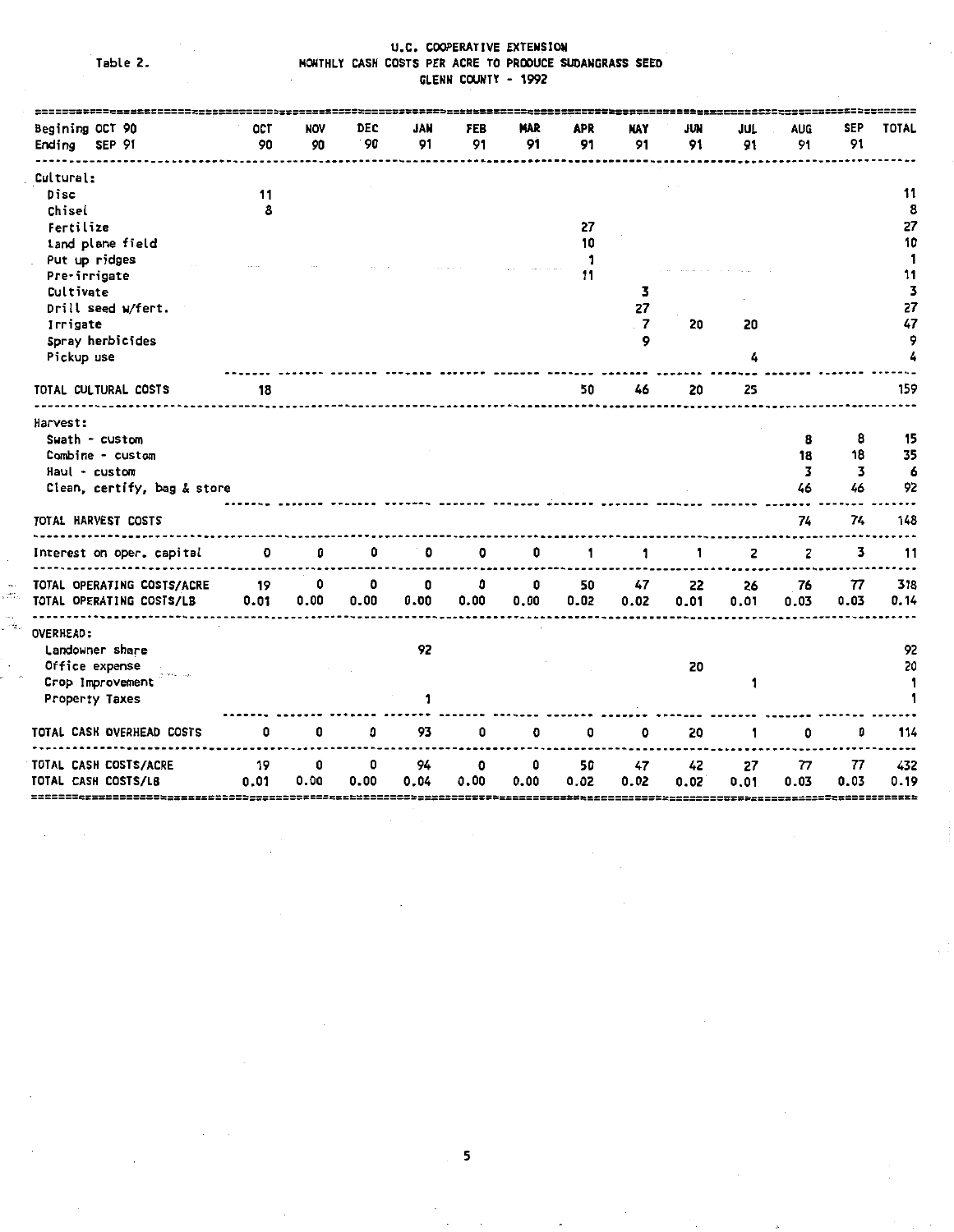Table 2.

۰.<br>من

٠,

#### U.C. COOPERATIVE EXTENSION MONTHLY CASH COSTS PER ACRE TO PRODUCE SUOANGRASS SEEO GLENN COUNTY - 1992

| OCT<br>90                   | NOV<br>90 | DEC<br>90 | JAN<br>91 | FEB<br>91    | MAR<br>91 | <b>APR</b><br>91 | N۸Y<br>91      | jun<br>91 | JUL<br>91 | <b>AUG</b><br>91 | SEP<br>91          | TOTAL                    |
|-----------------------------|-----------|-----------|-----------|--------------|-----------|------------------|----------------|-----------|-----------|------------------|--------------------|--------------------------|
|                             |           |           |           |              |           |                  |                |           |           |                  |                    |                          |
| 11                          |           |           |           |              |           |                  |                |           |           |                  |                    | 11                       |
| 8                           |           |           |           |              |           |                  |                |           |           |                  |                    | 8                        |
|                             |           |           |           |              |           | 27               |                |           |           |                  |                    | 27                       |
|                             |           |           |           |              |           | 10               |                |           |           |                  |                    | 10                       |
|                             |           |           |           |              |           | 1                |                |           |           |                  |                    | 1                        |
|                             |           |           |           |              |           | 11               |                |           |           |                  |                    | 11                       |
|                             |           |           |           |              |           |                  | 3              |           |           |                  |                    | 3                        |
|                             |           |           |           |              |           |                  |                |           |           |                  |                    | 27                       |
|                             |           |           |           |              |           |                  | $\overline{7}$ | 20        | 20        |                  |                    | 47                       |
|                             |           |           |           |              |           |                  | 9              |           |           |                  |                    | 9                        |
|                             |           |           |           |              |           |                  |                |           | 4         |                  |                    | 4                        |
| 18                          |           |           |           |              |           | 50               | 46             | 20        | 25        |                  |                    | 159                      |
|                             |           |           |           |              |           |                  |                |           |           |                  |                    |                          |
|                             |           |           |           |              |           |                  |                |           |           |                  |                    |                          |
|                             |           |           |           |              |           |                  |                |           |           |                  |                    | 15                       |
|                             |           |           |           |              |           |                  |                |           |           |                  |                    | 35                       |
|                             |           |           |           |              |           |                  |                |           |           |                  |                    | 6                        |
| Clean, certify, bag & store |           |           |           |              |           |                  |                |           |           | 46               |                    | 92                       |
|                             |           |           |           |              |           |                  |                |           |           | 74               | 74                 | 148                      |
| 0                           | 0         | 0         | 0         | 0            | 0         | 1                | 1              | 1         | 2         | 2                | 3                  | 11                       |
|                             |           |           |           |              |           |                  |                |           |           |                  |                    | 318                      |
| 0.01                        | 0.00      | 0.00      | 0.00      | 0.00         | 0.00      | 0.02             | 0.02           | 0.01      | 0.01      | 0.03             | 0.03               | 0.14                     |
|                             |           |           |           |              |           |                  |                |           |           |                  |                    |                          |
|                             |           |           |           |              |           |                  |                |           |           |                  |                    | 92                       |
|                             |           |           |           |              |           |                  |                |           |           |                  |                    | 20                       |
|                             |           |           |           |              |           |                  |                |           |           |                  |                    | 1                        |
|                             |           |           |           |              |           |                  |                |           |           |                  |                    |                          |
| 0                           | 0         | 0         | 93        | 0            | 0         | ٥                | ٥              | 20        | 1         | 0                | 0                  | 114                      |
| 19                          | 0         | 0         | 94        | 0            | 0         | 50               | 47             | 42        | 27        | 77               | 77                 | 432                      |
| 0.01                        | 0.00      | 0.00      | 0.04      | 0.00         | 0.00      | 0.02             | 0.02           | 0.02      | 0.01      | 0.03             | 0.03               | 0.19                     |
|                             | 19        | 0         | 0         | 0<br>92<br>1 | 0         | 0                | 50             | 27<br>47  | 22<br>20  | 26<br>1          | 8<br>18<br>3<br>76 | 8<br>18<br>3<br>46<br>77 |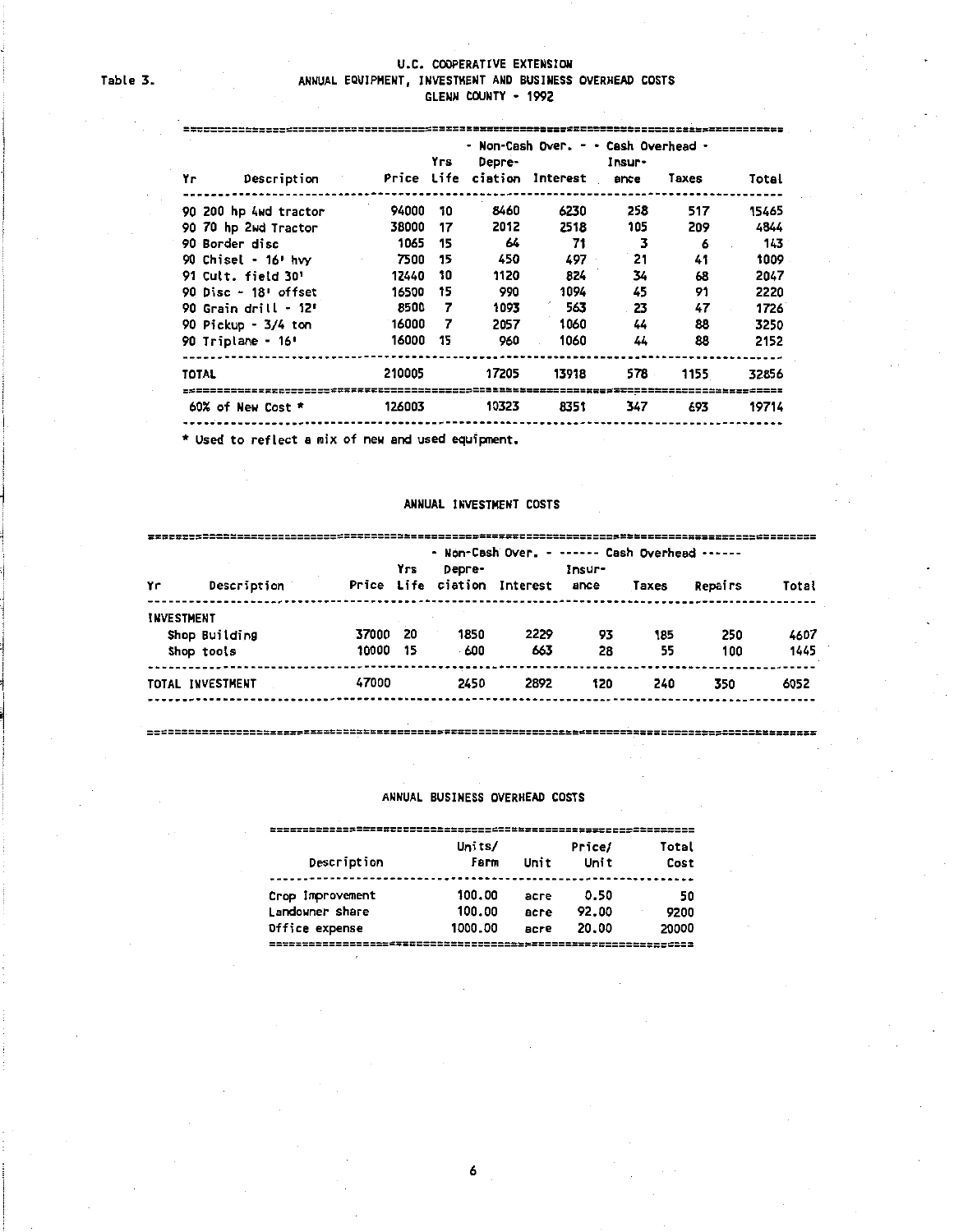#### U.C. COOPERATIVE EXTENSION ANNUAL EQUIPMENT, INVESTMENT AND BUSINESS OVERHEAD COSTS GLENN COUNTY • 1992

| Yгs<br>Depre-                     |        |    |       | - Non-Cash Over, - - Cash Overhead - | Insur- |       |       |
|-----------------------------------|--------|----|-------|--------------------------------------|--------|-------|-------|
| Yг<br>Description                 |        |    |       | Price Life ciation Interest ance     |        | Taxes | Total |
| 90 200 hp 4wd tractor             | 94000  | 10 | 8460  | 6230                                 | 258    | 517   | 15465 |
| 90 70 hp 2wd Tractor              | 38000  | 17 | 2012  | 2518                                 | 105    | 209   | 4844  |
| 90 Border disc                    | 1065   | 15 | 64    | 71                                   | 3      | 6     | 143   |
| 90 Chisel - $16!$ hvy             | 7500   | 15 | 450   | 497                                  | 21     | 41    | 1009  |
| 91 Cult. field 30'                | 12440  | 10 | 1120  | 824                                  | 34     | 68    | 2047  |
| 90 Disc $-18$ <sup>t</sup> offset | 16500  | 15 | 990   | 1094                                 | 45     | 91    | 2220  |
| 90 Grain drill $-12$              | 8500   | 7  | 1093  | 563                                  | 23     | 47    | 1726  |
| 90 Pickup - 3/4 ton               | 16000  | 7  | 2057  | 1060                                 | 44     | 88    | 3250  |
| 90 Triplane - 16'                 | 16000  | 15 | 960   | 1060                                 | 44     | 88    | 2152  |
| <b>TOTAL</b>                      | 210005 |    | 17205 | 13918                                | 578.   | 1155  | 32856 |
| 60% of New Cost *                 | 126003 |    | 10323 | 8351                                 | 347    | 693   | 19714 |
|                                   |        |    |       |                                      |        |       |       |

\* **Used to reflect a mix of new and used equipment.** 

#### ANNUAL INVESTMENT COSTS

|                   |                  | - Non-Cash Over. - ------ Cash Overhead ------ |     |        |                             |        |       |         |       |  |  |  |
|-------------------|------------------|------------------------------------------------|-----|--------|-----------------------------|--------|-------|---------|-------|--|--|--|
|                   |                  |                                                | Yrs | Depre- |                             | Insur- |       |         |       |  |  |  |
| Yг                | Description      |                                                |     |        | Price Life ciation Interest | ance   | Taxes | Repairs | Total |  |  |  |
| <b>INVESTMENT</b> |                  |                                                |     |        |                             |        |       |         |       |  |  |  |
|                   | Shop Building    | 37000                                          | 20  | 1850   | 2229                        | 93     | 185   | 250     | 4607  |  |  |  |
|                   | Shop tools       | 10000                                          | 15  | -600   | 663                         | 28     | 55    | 100     | 1445  |  |  |  |
|                   | TOTAL INVESTMENT | 47000                                          |     | 2450   | 2892                        | 120    | 240   | 350     | 6052  |  |  |  |
|                   |                  |                                                |     |        |                             |        |       |         |       |  |  |  |

===================================================================================================

#### ANNUAL BUSINESS OVERHEAD COSTS

|                  | Units/  |      | Price/ | Total |
|------------------|---------|------|--------|-------|
| Description      | Farm    | Unit | Unit   | Cost  |
|                  |         |      |        |       |
| Crop Improvement | 100.00  | асге | 0.50   | 50    |
| Landowner share  | 100.00  | асге | 92.00  | 9200  |
| Office expense   | 1000.00 | acre | 20.00  | 20000 |
|                  |         |      |        |       |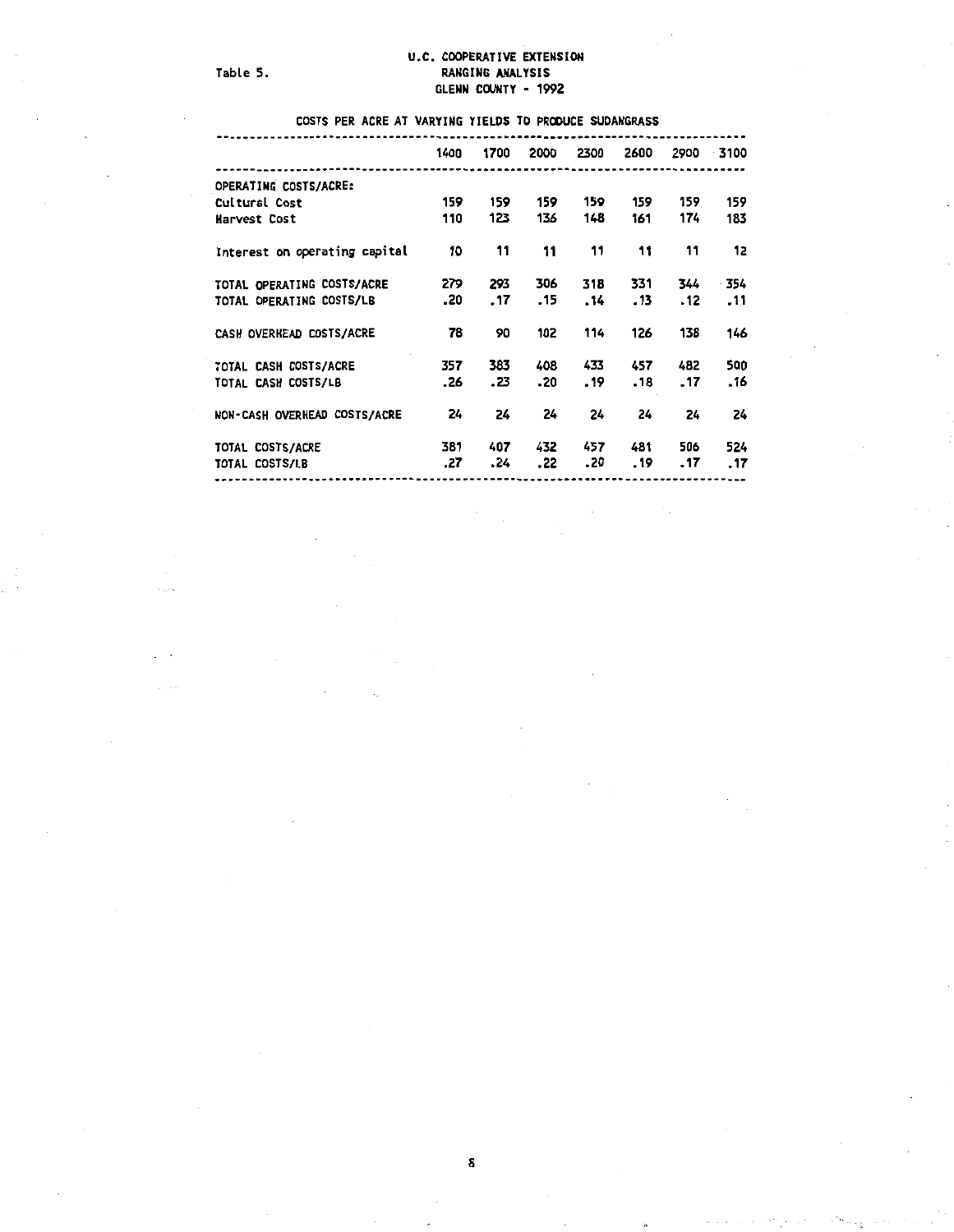ings.

 $\omega_{\rm c}$  .

#### U.C. COOPERATIVE EXTENSION Table 5. Table 5. GLENN COUNTY - 1992

COSTS PER ACRE AT VARYING YIELDS TO PRODUCE SUDANGRASS

|                               | 1400 | 1700 | 2000 | 2300 | 2600    |     | 2900 3100 |
|-------------------------------|------|------|------|------|---------|-----|-----------|
| OPERATING COSTS/ACRE:         |      |      |      |      |         |     |           |
| Cultural Cost                 | 159  | 159  | 159  | 159  | 159     | 159 | 159       |
| Harvest Cost                  | 110  | 123  | 136  | 148  | 161     | 174 | 183       |
| Interest on operating capital | 10   | 11   | 11   | 11   | 11      | 11  | 12        |
| TOTAL OPERATING COSTS/ACRE    | 279  | 293  | 306  | 318  | 331     | 344 | - 354     |
| TOTAL OPERATING COSTS/LB      | .20  | . 17 | . 15 | . 14 | $.13 -$ | .12 | .11       |
| CASH OVERHEAD COSTS/ACRE      | 78   | 90   | 102  | 114  | 126     | 138 | 146       |
| TOTAL CASH COSTS/ACRE         | 357  | 383  | 408  | 433  | 457     | 482 | 500       |
| TOTAL CASH COSTS/LB           | .26  | .23  | .20  | .19  | .18     | .17 | .16       |
| NON-CASH OVERHEAD COSTS/ACRE  | 24   | 24   | 24   | 24   | 24      | 24  | 24        |
| TOTAL COSTS/ACRE              | 381  | 407  | 432  | 457  | 481     | 506 | 524       |
| TOTAL COSTS/LB                | .27  | - 24 | .22  | .20  | . 19    | .17 | .17       |
|                               |      |      |      |      |         |     |           |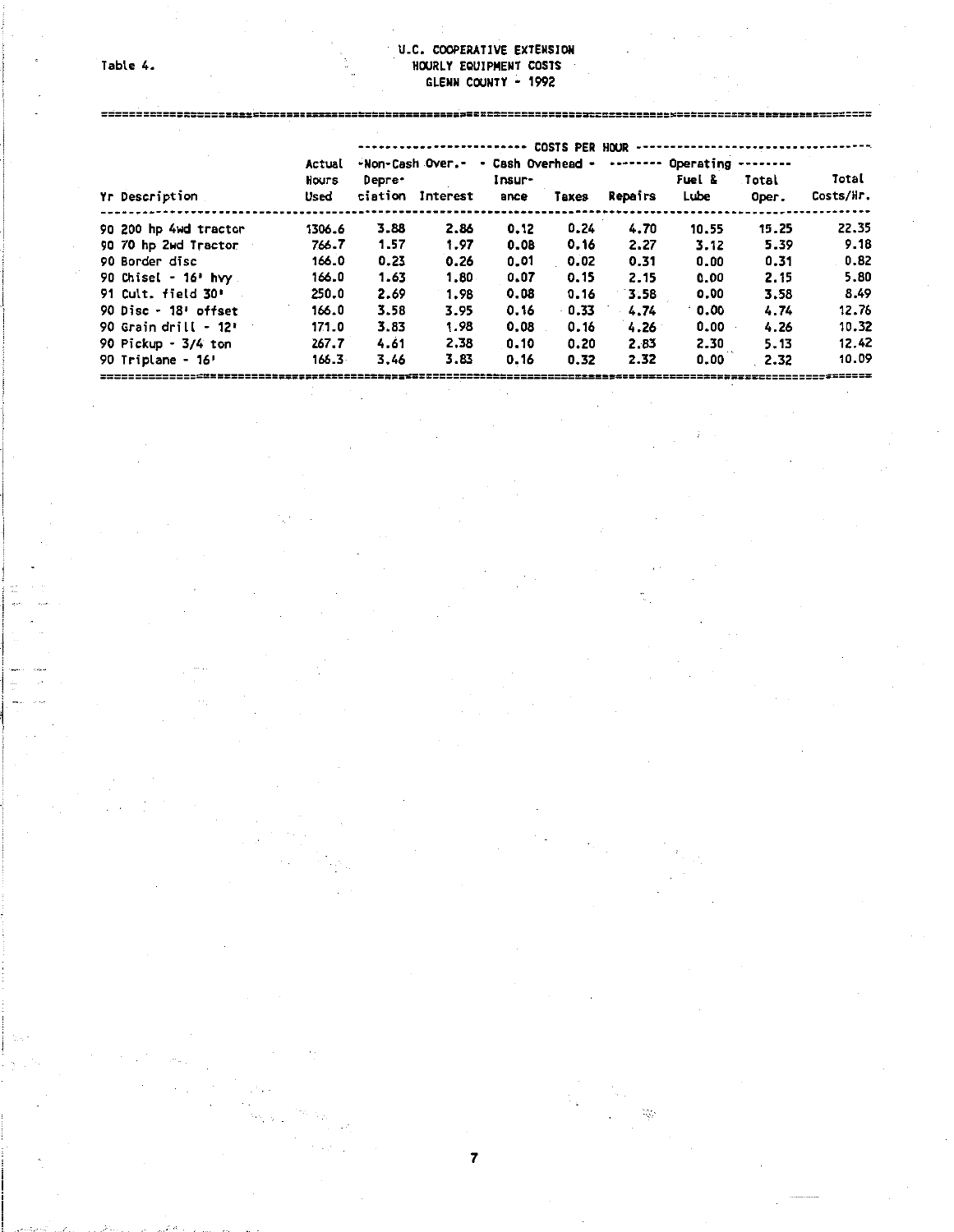#### Table 4.

ç.

#### U.C. COOPERATIVE EXTENSIOH HOURLY EQUIPMENT COSTS GLENN COUNTY - 1992

|                        | Actual    |         | -Non-Cash Over.- | - Cash Overhead - | COSTS PER HOUR |                | Operating -------- |          |           |
|------------------------|-----------|---------|------------------|-------------------|----------------|----------------|--------------------|----------|-----------|
|                        | Hours     | Depre-  |                  | Insur-            |                |                | Fuel &             | Total    | Total     |
| Yr Description         | Used      | ciation | Interest         | ance              | Taxes          | <b>Repairs</b> | <b>Lube</b>        | Oper.    | Costs/Hr. |
| 90 200 hp 4wd tractor  | 1306.6    | 3.88    | 2.86             | 0.12              | 0.24           | 4.70           | 10.55              | 15.25    | 22.35     |
| 90 70 hp 2wd Tractor   | 766.7     | 1.57    | 1.97             | 0.08              | 0.16           | 2.27           | 3.12               | 5.39     | 9.18      |
| 90 Border disc         | 166.0     | 0.23    | 0.26             | 0.01              | 0.02           | 0.31           | 0.00               | 0.31     | 0.82      |
| 90 Chisel - $16'$ hvy  | 166.0     | 1.63    | 1.80.            | 0.07              | 0.15           | 2.15           | 0.00               | 2.15     | 5.80      |
| 91 Cult. field 30'     | 250.0     | 2.69    | 1.98             | 0.08              | 0.16           | 3.58           | 0.00               | 3.58     | 8.49      |
| 90 Disc - $18!$ offset | 166.0     | 3.58    | 3.95             | 0.16              | $-0.33$        | 4.74           | 0.00               | 4.74     | 12.76     |
| 90 Grain drill - $12i$ | 171.0     | 3.83    | 1.98             | 0.08              | 0.16           | 4.26           | 0.00               | 4.26     | 10.32     |
| 90 Pickup - 3/4 ton    | 267.7     | 4.61    | 2.38             | 0.10              | 0.20           | 2.83           | 2.30               | $5 - 13$ | 12.42     |
| 90 Triplane - 16'      | $166.3 -$ | 3.46    | 3.83             | 0.16              | 0.32           | 2.32           | 0.00               | 2.32     | 10.09     |
|                        |           |         |                  |                   |                |                |                    |          |           |

 $\lesssim$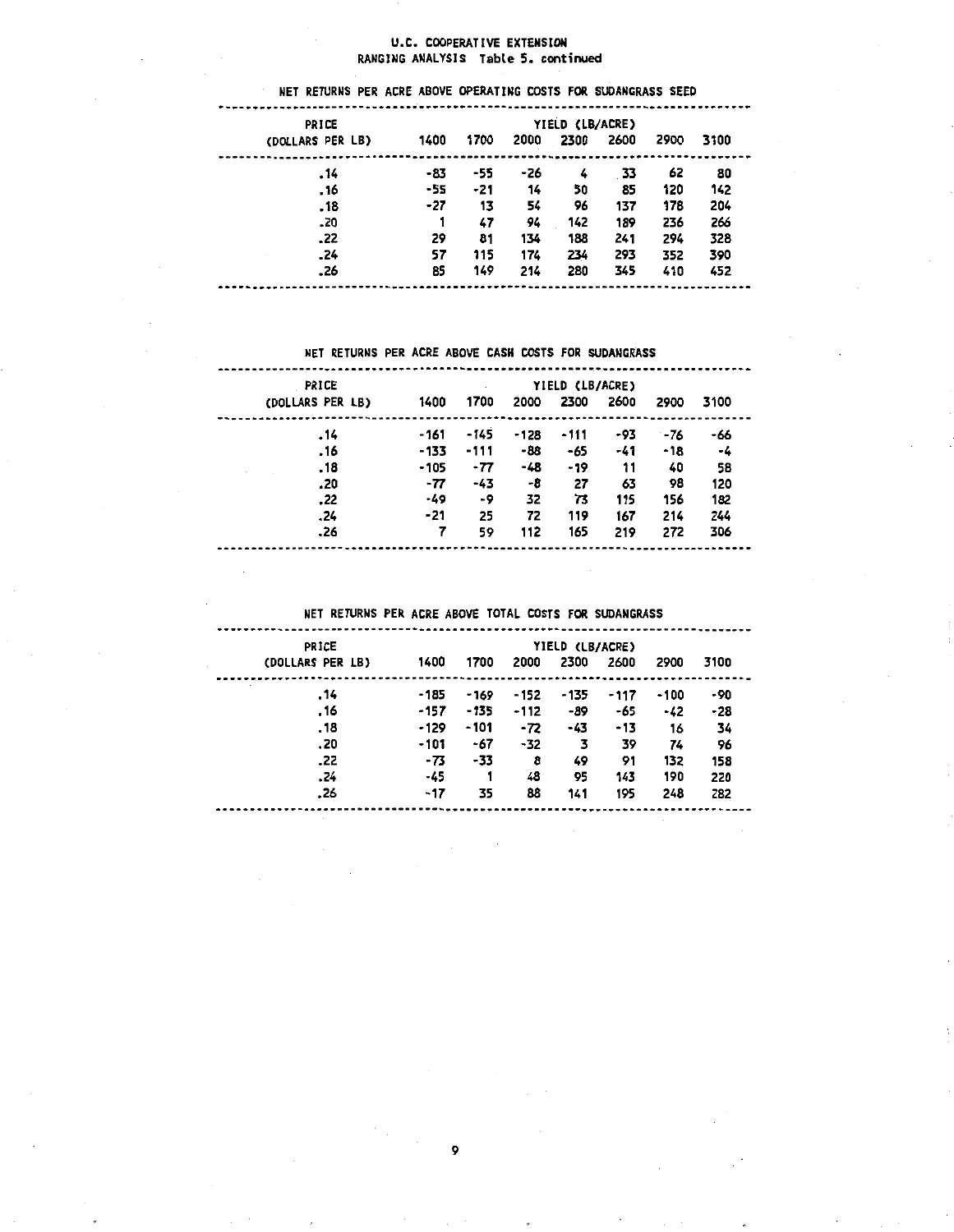#### U.C. COOPERATIVE EXTENSION RANGING ANALYSIS Table 5. continued

#### NET RETURNS PER ACRE ABOVE OPERATING COSTS FOR SUOANGRASS SEED PRICE PRICE 7IELD (LB/ACRE)<br>2000 2300 2600 1700 2000 2000 2600 2600 (DOLLARS PER LB) 1400 1700 2000 2300 2600 2900 3100 ------....... ------........ -----.14 -83 -55 -26 4 33 62 80<br>.16 -55 -21 14 50 85 120 142 .16 -55 -21 14 50 85 120 142 .18 -27 13 S4 96 137 178 2D4 .20 1 47 94 142 189 236 266 .22 29 81 134 188 241 294 328 .24 S7 11S 174 234 293 352 390 .26 85 149 214 28D 34S 410 452

#### NET RETURNS PER ACRE ABOVE CASH COSTS FOR SUDANGRASS

-----

 $- - - -$ 

| PRICE            |        |        |      | YIELD (LB/ACRE) |      |      |      |
|------------------|--------|--------|------|-----------------|------|------|------|
| (DOLLARS PER LB) | 1400   | 1700   | 2000 | 2300            | 2600 | 2900 | 3100 |
| 14.              | -161   | $-145$ | -128 | -111            | -93  | -76  | -66  |
| 16.              | $-133$ | $-111$ | -88  | -65             | -41  | -18  | -4   |
| . 18             | $-105$ | $-77$  | -48  | $-19$           | 11   | 40   | 58   |
| .20              | -77    | -43    | -8   | 27              | 63   | 98   | 120  |
| .22              | -49    | -9     | 32   | 73              | 115  | 156  | 182  |
| . 24             | -21    | 25     | 72   | 119             | 167  | 214  | 244  |
| .26              |        | 59     | 112  | 165             | 219  | 272  | 306  |

#### NET RETURNS PER ACRE ABOVE TOTAL COSTS FOR SUOANGRASS

| PRICE            |        | YIELD (LB/ACRE) |       |        |      |        |      |  |  |
|------------------|--------|-----------------|-------|--------|------|--------|------|--|--|
| (DOLLARS PER LB) | 1400   | 1700            | 2000  | 2300   | 2600 | 2900   | 3100 |  |  |
| . 14             | $-185$ | $-169$          | - 152 | $-135$ | -117 | $-100$ | -90  |  |  |
| . 16             | -157   | $-135$          | -112  | -89    | -65  | -42    | -28  |  |  |
| . 18             | $-129$ | $-101$          | -72   | -43    | -13  | 16     | 34   |  |  |
| .20              | $-101$ | -67             | $-32$ | 3      | 39   | 74     | 96   |  |  |
| .22              | -73    | -33             | 8     | 49     | 91   | 132    | 158  |  |  |
| . 24             | -45    |                 | 48    | 95     | 143  | 190    | 220  |  |  |
| .26              | -17    | 35              | 88    | 141    | 195  | 248    | 282  |  |  |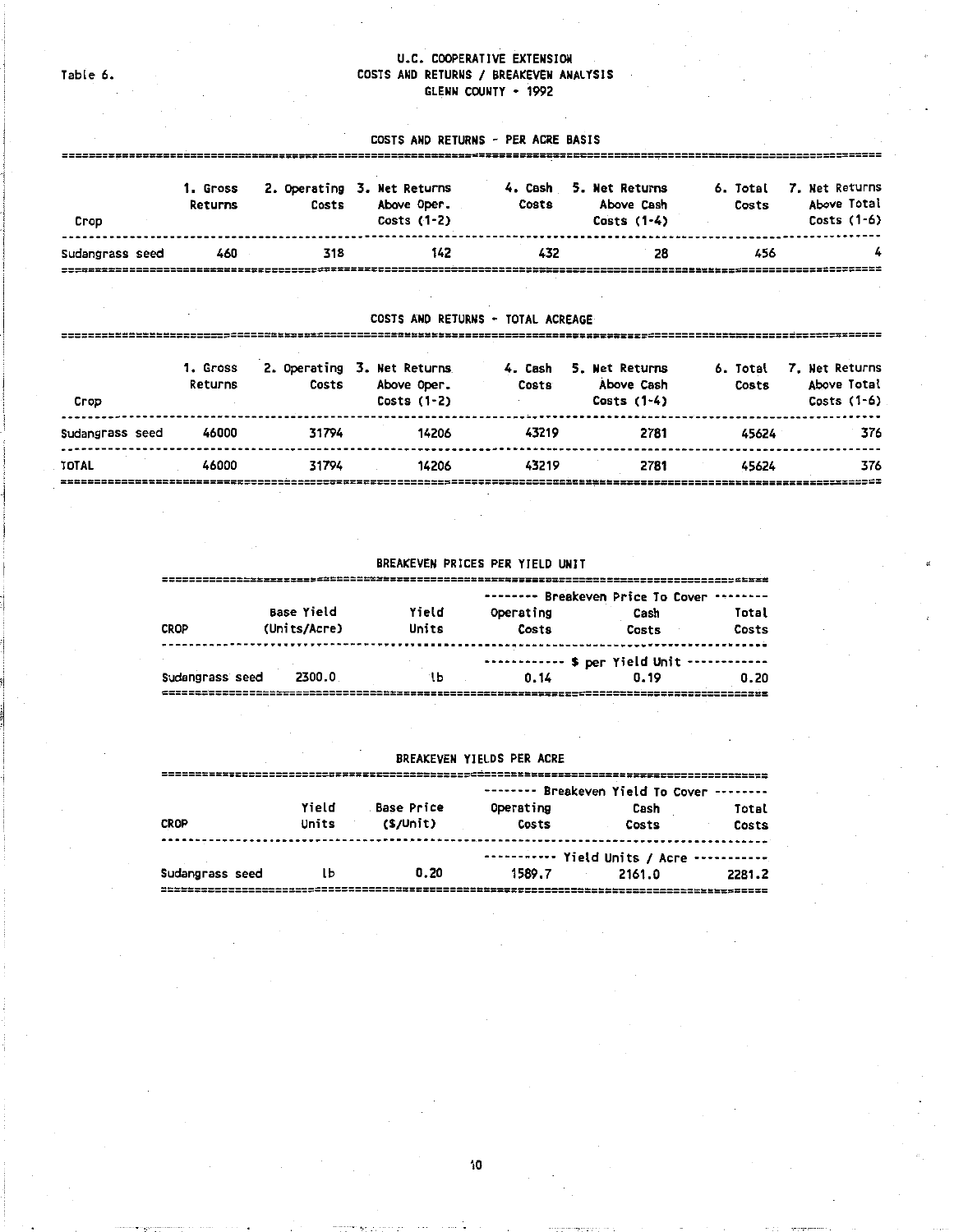#### U.C. COOPERATIVE EXTENSION COSTS AND RETURNS / BREAKEVEN ANALYSIS GLENN COUNTY • 1992

Table 6.

#### COSTS AND RETURNS • PER ACRE BASIS

| Crop            | 1. Gross<br>Returns | Costs | 2. Operating 3. Net Returns<br>Above Oper.<br>Costs $(1-2)$ | 4. Cash<br>Costs | 5. Net Returns<br>Above Cash<br>Costs $(1-4)$ | 6. Total<br>Costs | 7. Net Returns<br>Above Total<br>Costs (1-6) |
|-----------------|---------------------|-------|-------------------------------------------------------------|------------------|-----------------------------------------------|-------------------|----------------------------------------------|
| Sudangrass seed | 460                 | 318   | 142                                                         | 432              | 28                                            | 456               |                                              |

#### COSTS AND RETURNS • TOTAL ACREAGE

| Crop            | 1. Gross<br>Returns | Costs | 2. Operating 3. Net Returns<br>Above Oper.<br>Costs $(1-2)$ | 4. Cash<br>Costs | 5. Net Returns<br>Above Cash<br>Costs $(1-4)$ | 6. Total<br>Costs | 7. Net Returns<br>Above Total<br>Costs $(1-6)$ |
|-----------------|---------------------|-------|-------------------------------------------------------------|------------------|-----------------------------------------------|-------------------|------------------------------------------------|
| Sudangrass seed | 46000               | 31794 | 14206                                                       | 43219            | 2781                                          | 45624             | 376                                            |
| <b>TOTAL</b>    | 46000               | 31794 | 14206                                                       | 43219            | 2781                                          | 45624             | 376                                            |

#### BREAKEVEN PRICES PER YIELD UNIT

|                 |                   |       |           | -------- Breakeven Price To Cover |       |
|-----------------|-------------------|-------|-----------|-----------------------------------|-------|
|                 | <b>Base Yield</b> | Yield | Operating | Cash                              | Total |
| <b>CROP</b>     | (Units/Acre)      | Units | Costs     | Costs                             | Costs |
|                 |                   |       |           | \$ per Yield Unit                 |       |
| Sudangrass seed | 2300.0            | ٦b    | 0.14      | 0.19                              | 0.20  |
|                 |                   |       |           |                                   |       |

#### BREAKEVEN YIELDS PER ACRE

|                 | Yield | <b>Base Price</b> | -------- Breakeven Yield To Cover<br>--------<br>Operating<br>Cash<br>Total |        |        |
|-----------------|-------|-------------------|-----------------------------------------------------------------------------|--------|--------|
| <b>CROP</b>     | Units | (S/Unit)          | Costs                                                                       | Costs  | Costs  |
|                 |       |                   | ----------- Yield Units / Acre -----------                                  |        |        |
| Sudangrass seed | lЬ    | 0.20              | 1589.7                                                                      | 2161.0 | 2281.2 |
|                 |       |                   |                                                                             |        |        |